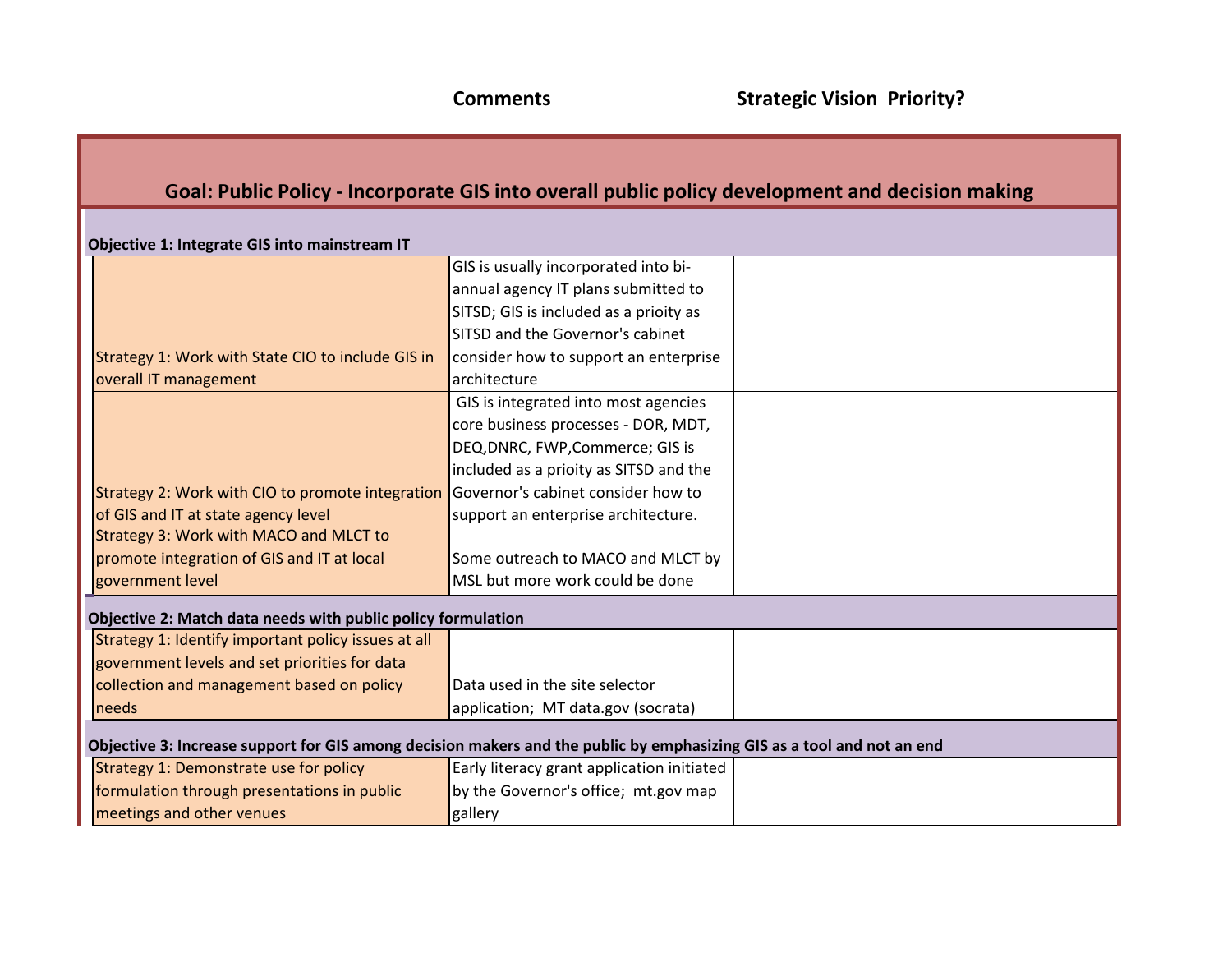## **Goal: Public Policy - Incorporate GIS into overall public policy development and decision making**

| Objective 1: Integrate GIS into mainstream IT                                                                          |                                            |  |
|------------------------------------------------------------------------------------------------------------------------|--------------------------------------------|--|
|                                                                                                                        | GIS is usually incorporated into bi-       |  |
|                                                                                                                        | annual agency IT plans submitted to        |  |
|                                                                                                                        | SITSD; GIS is included as a prioity as     |  |
|                                                                                                                        | SITSD and the Governor's cabinet           |  |
| Strategy 1: Work with State CIO to include GIS in                                                                      | consider how to support an enterprise      |  |
| overall IT management                                                                                                  | architecture                               |  |
|                                                                                                                        | GIS is integrated into most agencies       |  |
|                                                                                                                        | core business processes - DOR, MDT,        |  |
|                                                                                                                        | DEQ, DNRC, FWP, Commerce; GIS is           |  |
|                                                                                                                        | included as a prioity as SITSD and the     |  |
| Strategy 2: Work with CIO to promote integration                                                                       | Governor's cabinet consider how to         |  |
| of GIS and IT at state agency level                                                                                    | support an enterprise architecture.        |  |
| Strategy 3: Work with MACO and MLCT to                                                                                 |                                            |  |
| promote integration of GIS and IT at local                                                                             | Some outreach to MACO and MLCT by          |  |
| government level                                                                                                       | MSL but more work could be done            |  |
| Objective 2: Match data needs with public policy formulation                                                           |                                            |  |
| Strategy 1: Identify important policy issues at all                                                                    |                                            |  |
| government levels and set priorities for data                                                                          |                                            |  |
| collection and management based on policy                                                                              | Data used in the site selector             |  |
| needs                                                                                                                  | application; MT data.gov (socrata)         |  |
| Objective 3: Increase support for GIS among decision makers and the public by emphasizing GIS as a tool and not an end |                                            |  |
| Strategy 1: Demonstrate use for policy                                                                                 | Early literacy grant application initiated |  |
| formulation through presentations in public                                                                            | by the Governor's office; mt.gov map       |  |
| meetings and other venues                                                                                              | gallery                                    |  |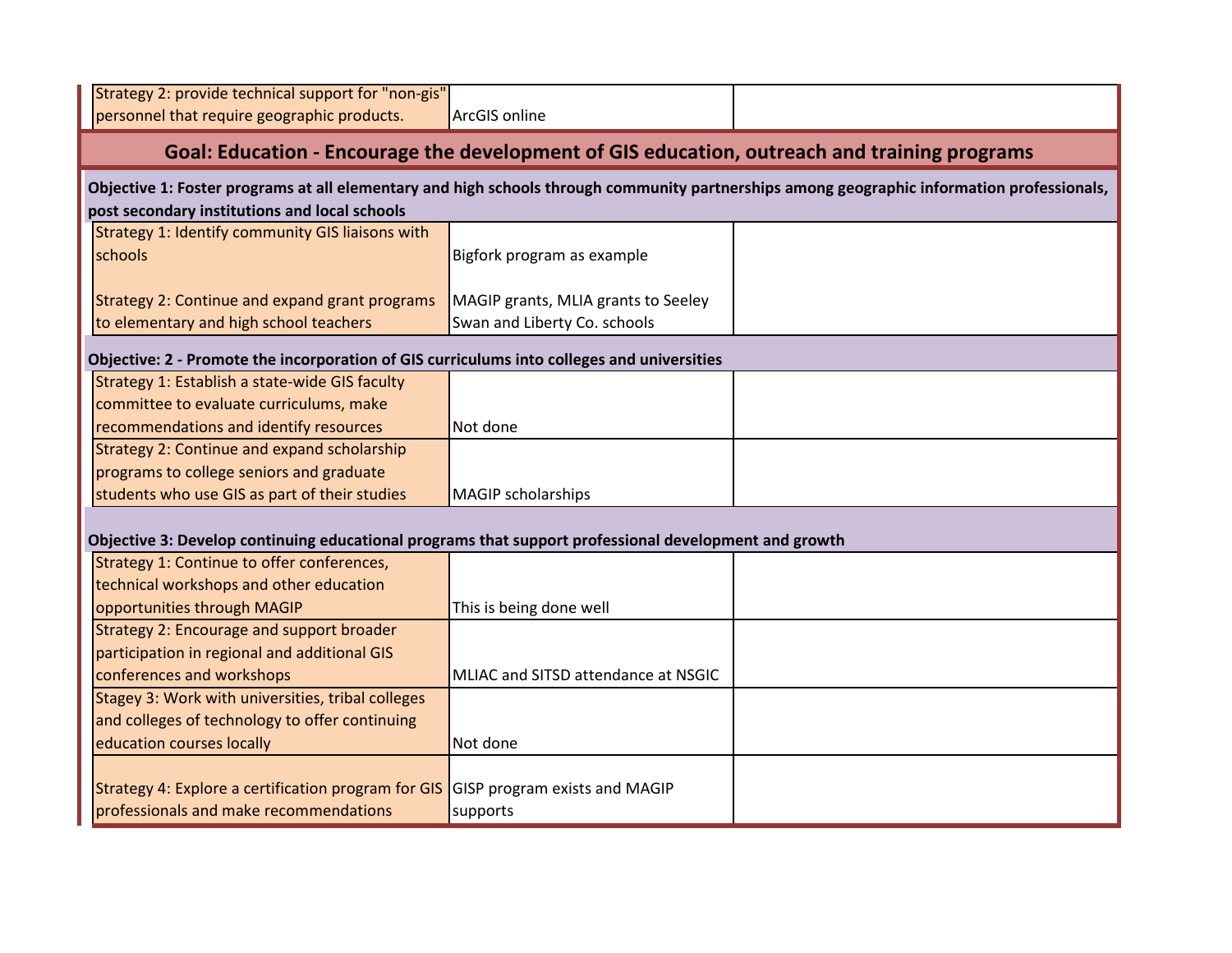| Strategy 2: provide technical support for "non-gis"<br>personnel that require geographic products.    | ArcGIS online                        |                                                                                                                                            |
|-------------------------------------------------------------------------------------------------------|--------------------------------------|--------------------------------------------------------------------------------------------------------------------------------------------|
|                                                                                                       |                                      | Goal: Education - Encourage the development of GIS education, outreach and training programs                                               |
|                                                                                                       |                                      | Objective 1: Foster programs at all elementary and high schools through community partnerships among geographic information professionals, |
| post secondary institutions and local schools                                                         |                                      |                                                                                                                                            |
| Strategy 1: Identify community GIS liaisons with                                                      |                                      |                                                                                                                                            |
| schools                                                                                               | Bigfork program as example           |                                                                                                                                            |
|                                                                                                       |                                      |                                                                                                                                            |
| Strategy 2: Continue and expand grant programs                                                        | MAGIP grants, MLIA grants to Seeley  |                                                                                                                                            |
| to elementary and high school teachers                                                                | Swan and Liberty Co. schools         |                                                                                                                                            |
| Objective: 2 - Promote the incorporation of GIS curriculums into colleges and universities            |                                      |                                                                                                                                            |
| Strategy 1: Establish a state-wide GIS faculty                                                        |                                      |                                                                                                                                            |
| committee to evaluate curriculums, make                                                               |                                      |                                                                                                                                            |
| recommendations and identify resources                                                                | Not done                             |                                                                                                                                            |
| Strategy 2: Continue and expand scholarship                                                           |                                      |                                                                                                                                            |
| programs to college seniors and graduate                                                              |                                      |                                                                                                                                            |
| students who use GIS as part of their studies                                                         | <b>MAGIP</b> scholarships            |                                                                                                                                            |
|                                                                                                       |                                      |                                                                                                                                            |
| Objective 3: Develop continuing educational programs that support professional development and growth |                                      |                                                                                                                                            |
| Strategy 1: Continue to offer conferences,                                                            |                                      |                                                                                                                                            |
| technical workshops and other education                                                               |                                      |                                                                                                                                            |
| opportunities through MAGIP                                                                           | This is being done well              |                                                                                                                                            |
| Strategy 2: Encourage and support broader                                                             |                                      |                                                                                                                                            |
| participation in regional and additional GIS                                                          |                                      |                                                                                                                                            |
| conferences and workshops                                                                             | MLIAC and SITSD attendance at NSGIC  |                                                                                                                                            |
| Stagey 3: Work with universities, tribal colleges                                                     |                                      |                                                                                                                                            |
| and colleges of technology to offer continuing                                                        |                                      |                                                                                                                                            |
| education courses locally                                                                             | Not done                             |                                                                                                                                            |
|                                                                                                       |                                      |                                                                                                                                            |
| Strategy 4: Explore a certification program for GIS                                                   | <b>GISP program exists and MAGIP</b> |                                                                                                                                            |
| professionals and make recommendations                                                                | supports                             |                                                                                                                                            |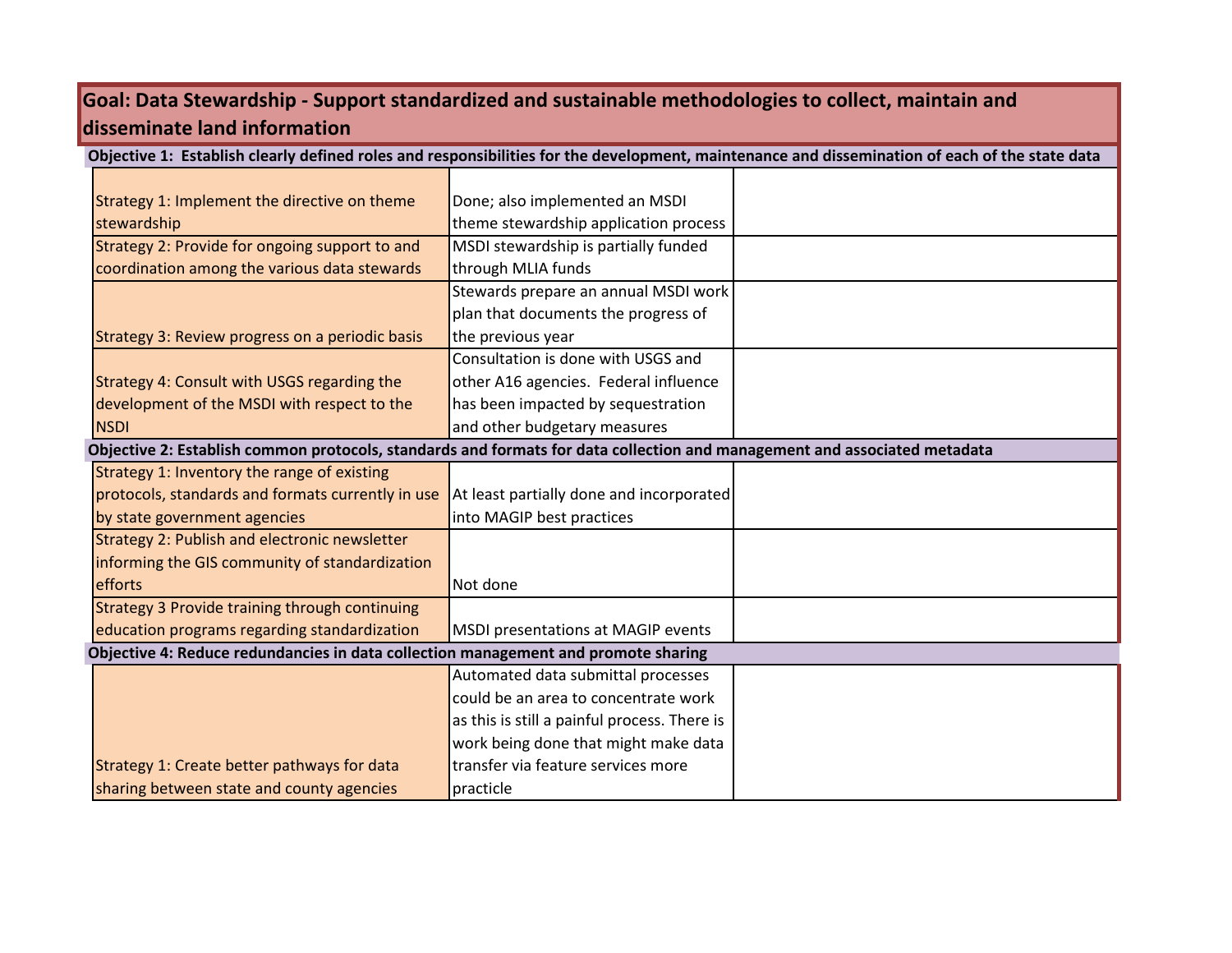## **Goal: Data Stewardship - Support standardized and sustainable methodologies to collect, maintain and disseminate land information**

|                                                                                                                           |                                              | Objective 1: Establish clearly defined roles and responsibilities for the development, maintenance and dissemination of each of the state data |
|---------------------------------------------------------------------------------------------------------------------------|----------------------------------------------|------------------------------------------------------------------------------------------------------------------------------------------------|
|                                                                                                                           |                                              |                                                                                                                                                |
| Strategy 1: Implement the directive on theme                                                                              | Done; also implemented an MSDI               |                                                                                                                                                |
| stewardship                                                                                                               | theme stewardship application process        |                                                                                                                                                |
| Strategy 2: Provide for ongoing support to and                                                                            | MSDI stewardship is partially funded         |                                                                                                                                                |
| coordination among the various data stewards                                                                              | through MLIA funds                           |                                                                                                                                                |
|                                                                                                                           | Stewards prepare an annual MSDI work         |                                                                                                                                                |
|                                                                                                                           | plan that documents the progress of          |                                                                                                                                                |
| Strategy 3: Review progress on a periodic basis                                                                           | the previous year                            |                                                                                                                                                |
|                                                                                                                           | Consultation is done with USGS and           |                                                                                                                                                |
| Strategy 4: Consult with USGS regarding the                                                                               | other A16 agencies. Federal influence        |                                                                                                                                                |
| development of the MSDI with respect to the                                                                               | has been impacted by sequestration           |                                                                                                                                                |
| <b>NSDI</b>                                                                                                               | and other budgetary measures                 |                                                                                                                                                |
| Objective 2: Establish common protocols, standards and formats for data collection and management and associated metadata |                                              |                                                                                                                                                |
| Strategy 1: Inventory the range of existing                                                                               |                                              |                                                                                                                                                |
| protocols, standards and formats currently in use                                                                         | At least partially done and incorporated     |                                                                                                                                                |
| by state government agencies                                                                                              | into MAGIP best practices                    |                                                                                                                                                |
| Strategy 2: Publish and electronic newsletter                                                                             |                                              |                                                                                                                                                |
| informing the GIS community of standardization                                                                            |                                              |                                                                                                                                                |
| efforts                                                                                                                   | Not done                                     |                                                                                                                                                |
| Strategy 3 Provide training through continuing                                                                            |                                              |                                                                                                                                                |
| education programs regarding standardization                                                                              | MSDI presentations at MAGIP events           |                                                                                                                                                |
| Objective 4: Reduce redundancies in data collection management and promote sharing                                        |                                              |                                                                                                                                                |
|                                                                                                                           | Automated data submittal processes           |                                                                                                                                                |
|                                                                                                                           | could be an area to concentrate work         |                                                                                                                                                |
|                                                                                                                           | as this is still a painful process. There is |                                                                                                                                                |
|                                                                                                                           | work being done that might make data         |                                                                                                                                                |
| Strategy 1: Create better pathways for data                                                                               | transfer via feature services more           |                                                                                                                                                |
| sharing between state and county agencies                                                                                 | practicle                                    |                                                                                                                                                |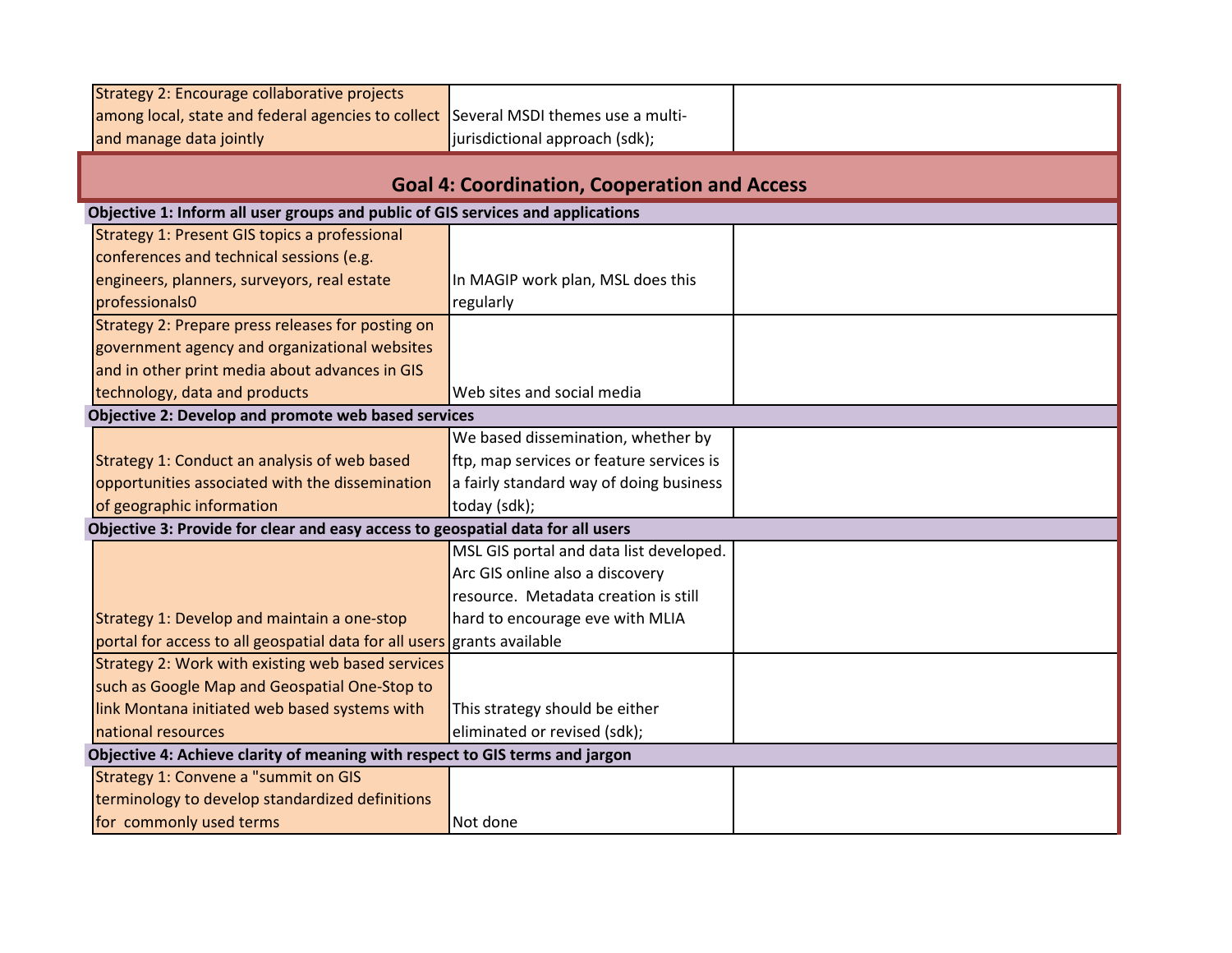| Strategy 2: Encourage collaborative projects                                    |                                                     |  |
|---------------------------------------------------------------------------------|-----------------------------------------------------|--|
| among local, state and federal agencies to collect                              | Several MSDI themes use a multi-                    |  |
| and manage data jointly                                                         | jurisdictional approach (sdk);                      |  |
|                                                                                 |                                                     |  |
|                                                                                 | <b>Goal 4: Coordination, Cooperation and Access</b> |  |
| Objective 1: Inform all user groups and public of GIS services and applications |                                                     |  |
| Strategy 1: Present GIS topics a professional                                   |                                                     |  |
| conferences and technical sessions (e.g.                                        |                                                     |  |
| engineers, planners, surveyors, real estate                                     | In MAGIP work plan, MSL does this                   |  |
| professionals0                                                                  | regularly                                           |  |
| Strategy 2: Prepare press releases for posting on                               |                                                     |  |
| government agency and organizational websites                                   |                                                     |  |
| and in other print media about advances in GIS                                  |                                                     |  |
| technology, data and products                                                   | Web sites and social media                          |  |
| Objective 2: Develop and promote web based services                             |                                                     |  |
|                                                                                 | We based dissemination, whether by                  |  |
| Strategy 1: Conduct an analysis of web based                                    | ftp, map services or feature services is            |  |
| opportunities associated with the dissemination                                 | a fairly standard way of doing business             |  |
| of geographic information                                                       | today (sdk);                                        |  |
| Objective 3: Provide for clear and easy access to geospatial data for all users |                                                     |  |
|                                                                                 | MSL GIS portal and data list developed.             |  |
|                                                                                 | Arc GIS online also a discovery                     |  |
|                                                                                 | resource. Metadata creation is still                |  |
| Strategy 1: Develop and maintain a one-stop                                     | hard to encourage eve with MLIA                     |  |
| portal for access to all geospatial data for all users                          | grants available                                    |  |
| Strategy 2: Work with existing web based services                               |                                                     |  |
| such as Google Map and Geospatial One-Stop to                                   |                                                     |  |
| link Montana initiated web based systems with                                   | This strategy should be either                      |  |
| national resources                                                              | eliminated or revised (sdk);                        |  |
| Objective 4: Achieve clarity of meaning with respect to GIS terms and jargon    |                                                     |  |
| <b>Strategy 1: Convene a "summit on GIS</b>                                     |                                                     |  |
| terminology to develop standardized definitions                                 |                                                     |  |
| for commonly used terms                                                         | Not done                                            |  |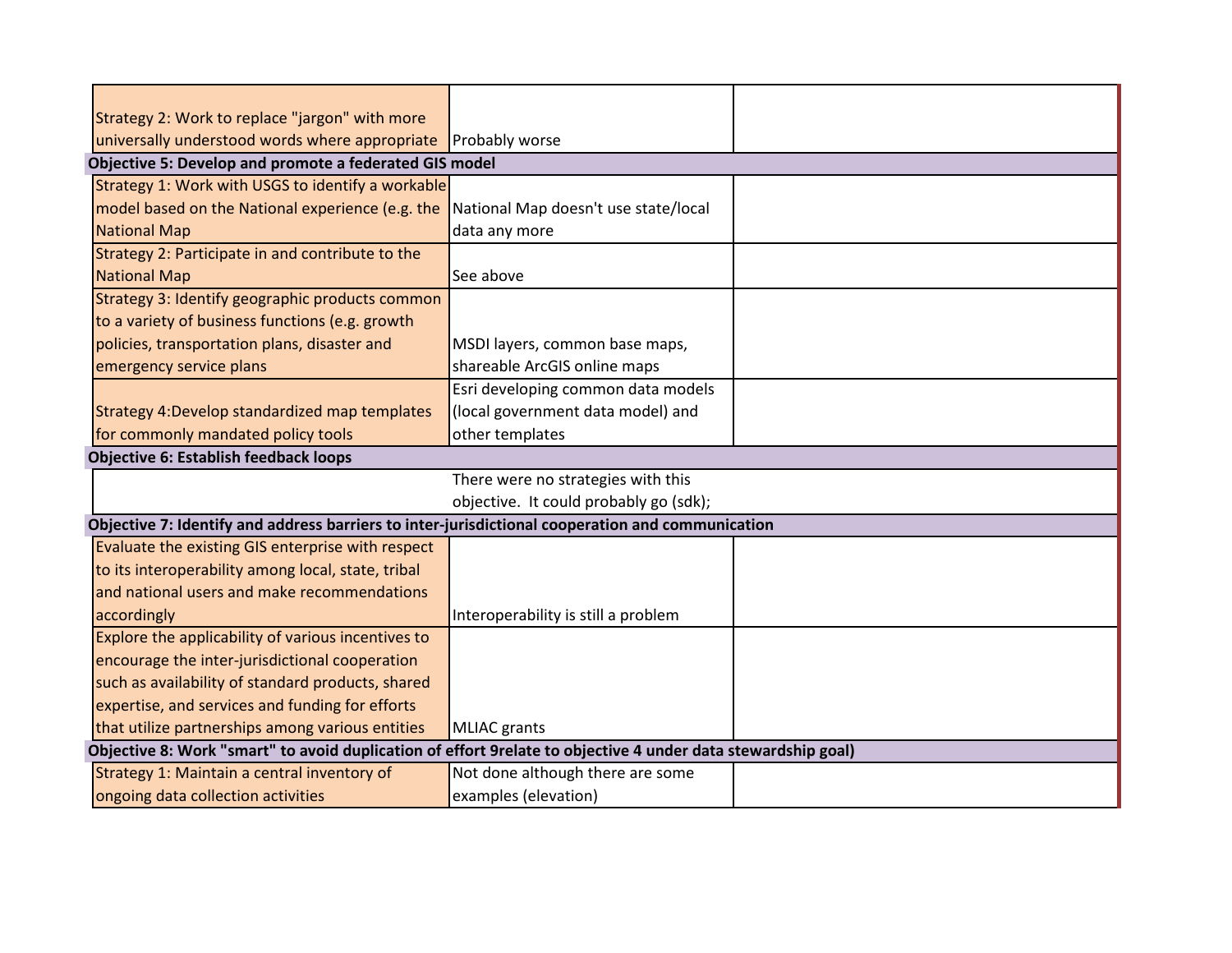| Strategy 2: Work to replace "jargon" with more                                                               |                                        |  |
|--------------------------------------------------------------------------------------------------------------|----------------------------------------|--|
| universally understood words where appropriate                                                               | <b>Probably worse</b>                  |  |
| Objective 5: Develop and promote a federated GIS model                                                       |                                        |  |
| Strategy 1: Work with USGS to identify a workable                                                            |                                        |  |
| model based on the National experience (e.g. the                                                             | National Map doesn't use state/local   |  |
| <b>National Map</b>                                                                                          | data any more                          |  |
| Strategy 2: Participate in and contribute to the                                                             |                                        |  |
| <b>National Map</b>                                                                                          | See above                              |  |
| Strategy 3: Identify geographic products common                                                              |                                        |  |
| to a variety of business functions (e.g. growth                                                              |                                        |  |
| policies, transportation plans, disaster and                                                                 | MSDI layers, common base maps,         |  |
| emergency service plans                                                                                      | shareable ArcGIS online maps           |  |
|                                                                                                              | Esri developing common data models     |  |
| Strategy 4: Develop standardized map templates                                                               | (local government data model) and      |  |
| for commonly mandated policy tools                                                                           | other templates                        |  |
| <b>Objective 6: Establish feedback loops</b>                                                                 |                                        |  |
|                                                                                                              | There were no strategies with this     |  |
|                                                                                                              | objective. It could probably go (sdk); |  |
| Objective 7: Identify and address barriers to inter-jurisdictional cooperation and communication             |                                        |  |
| Evaluate the existing GIS enterprise with respect                                                            |                                        |  |
| to its interoperability among local, state, tribal                                                           |                                        |  |
| and national users and make recommendations                                                                  |                                        |  |
| accordingly                                                                                                  | Interoperability is still a problem    |  |
| Explore the applicability of various incentives to                                                           |                                        |  |
| encourage the inter-jurisdictional cooperation                                                               |                                        |  |
| such as availability of standard products, shared                                                            |                                        |  |
| expertise, and services and funding for efforts                                                              |                                        |  |
| that utilize partnerships among various entities                                                             | <b>MLIAC</b> grants                    |  |
| Objective 8: Work "smart" to avoid duplication of effort 9relate to objective 4 under data stewardship goal) |                                        |  |
| Strategy 1: Maintain a central inventory of                                                                  | Not done although there are some       |  |
| ongoing data collection activities                                                                           | examples (elevation)                   |  |